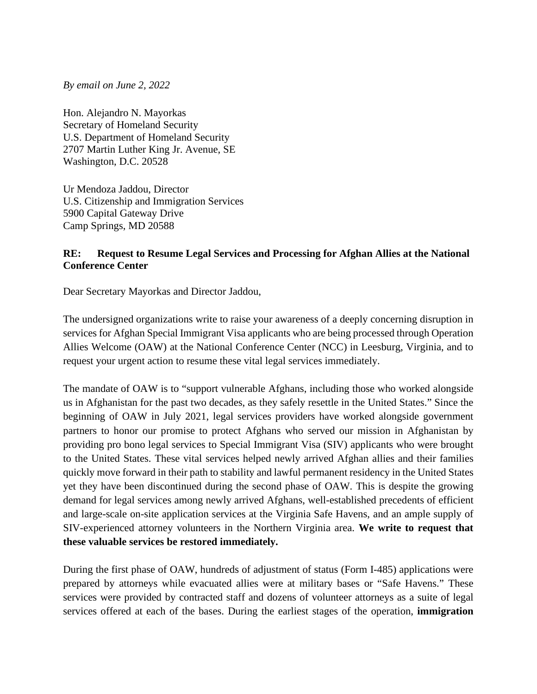*By email on June 2, 2022* 

Hon. Alejandro N. Mayorkas Secretary of Homeland Security U.S. Department of Homeland Security 2707 Martin Luther King Jr. Avenue, SE Washington, D.C. 20528

Ur Mendoza Jaddou, Director U.S. Citizenship and Immigration Services 5900 Capital Gateway Drive Camp Springs, MD 20588

## **RE: Request to Resume Legal Services and Processing for Afghan Allies at the National Conference Center**

Dear Secretary Mayorkas and Director Jaddou,

The undersigned organizations write to raise your awareness of a deeply concerning disruption in services for Afghan Special Immigrant Visa applicants who are being processed through Operation Allies Welcome (OAW) at the National Conference Center (NCC) in Leesburg, Virginia, and to request your urgent action to resume these vital legal services immediately.

The mandate of OAW is to "support vulnerable Afghans, including those who worked alongside us in Afghanistan for the past two decades, as they safely resettle in the United States." Since the beginning of OAW in July 2021, legal services providers have worked alongside government partners to honor our promise to protect Afghans who served our mission in Afghanistan by providing pro bono legal services to Special Immigrant Visa (SIV) applicants who were brought to the United States. These vital services helped newly arrived Afghan allies and their families quickly move forward in their path to stability and lawful permanent residency in the United States yet they have been discontinued during the second phase of OAW. This is despite the growing demand for legal services among newly arrived Afghans, well-established precedents of efficient and large-scale on-site application services at the Virginia Safe Havens, and an ample supply of SIV-experienced attorney volunteers in the Northern Virginia area. **We write to request that these valuable services be restored immediately.** 

During the first phase of OAW, hundreds of adjustment of status (Form I-485) applications were prepared by attorneys while evacuated allies were at military bases or "Safe Havens." These services were provided by contracted staff and dozens of volunteer attorneys as a suite of legal services offered at each of the bases. During the earliest stages of the operation, **immigration**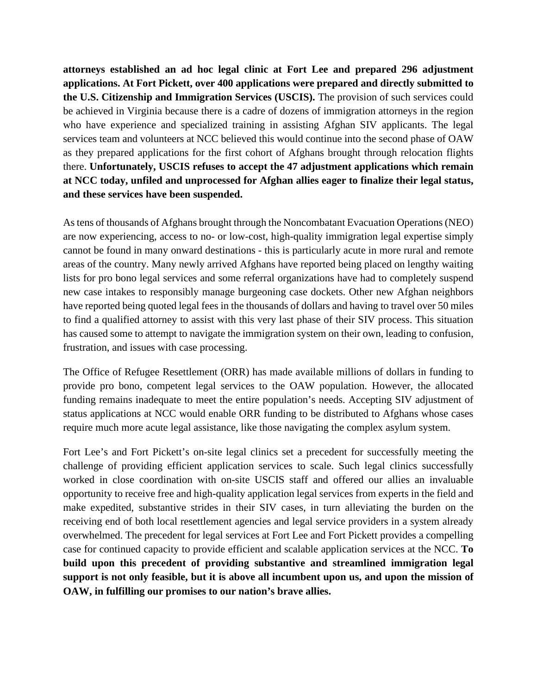**attorneys established an ad hoc legal clinic at Fort Lee and prepared 296 adjustment applications. At Fort Pickett, over 400 applications were prepared and directly submitted to the U.S. Citizenship and Immigration Services (USCIS).** The provision of such services could be achieved in Virginia because there is a cadre of dozens of immigration attorneys in the region who have experience and specialized training in assisting Afghan SIV applicants. The legal services team and volunteers at NCC believed this would continue into the second phase of OAW as they prepared applications for the first cohort of Afghans brought through relocation flights there. **Unfortunately, USCIS refuses to accept the 47 adjustment applications which remain at NCC today, unfiled and unprocessed for Afghan allies eager to finalize their legal status, and these services have been suspended.**

As tens of thousands of Afghans brought through the Noncombatant Evacuation Operations (NEO) are now experiencing, access to no- or low-cost, high-quality immigration legal expertise simply cannot be found in many onward destinations - this is particularly acute in more rural and remote areas of the country. Many newly arrived Afghans have reported being placed on lengthy waiting lists for pro bono legal services and some referral organizations have had to completely suspend new case intakes to responsibly manage burgeoning case dockets. Other new Afghan neighbors have reported being quoted legal fees in the thousands of dollars and having to travel over 50 miles to find a qualified attorney to assist with this very last phase of their SIV process. This situation has caused some to attempt to navigate the immigration system on their own, leading to confusion, frustration, and issues with case processing.

The Office of Refugee Resettlement (ORR) has made available millions of dollars in funding to provide pro bono, competent legal services to the OAW population. However, the allocated funding remains inadequate to meet the entire population's needs. Accepting SIV adjustment of status applications at NCC would enable ORR funding to be distributed to Afghans whose cases require much more acute legal assistance, like those navigating the complex asylum system.

Fort Lee's and Fort Pickett's on-site legal clinics set a precedent for successfully meeting the challenge of providing efficient application services to scale. Such legal clinics successfully worked in close coordination with on-site USCIS staff and offered our allies an invaluable opportunity to receive free and high-quality application legal services from experts in the field and make expedited, substantive strides in their SIV cases, in turn alleviating the burden on the receiving end of both local resettlement agencies and legal service providers in a system already overwhelmed. The precedent for legal services at Fort Lee and Fort Pickett provides a compelling case for continued capacity to provide efficient and scalable application services at the NCC. **To build upon this precedent of providing substantive and streamlined immigration legal support is not only feasible, but it is above all incumbent upon us, and upon the mission of OAW, in fulfilling our promises to our nation's brave allies.**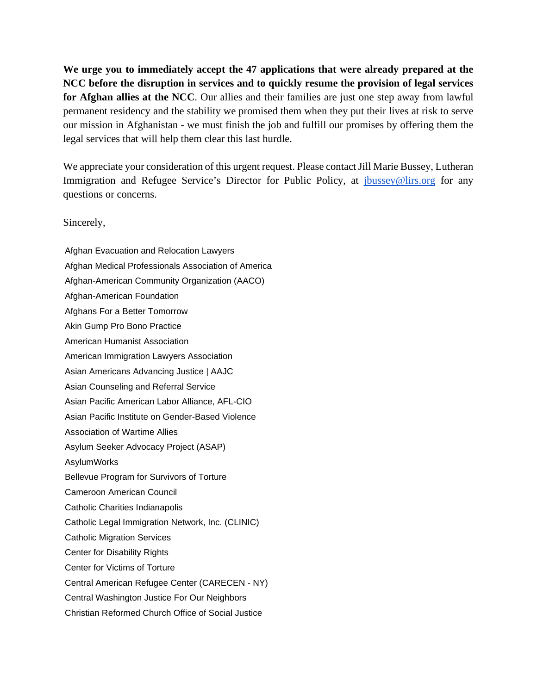**We urge you to immediately accept the 47 applications that were already prepared at the NCC before the disruption in services and to quickly resume the provision of legal services for Afghan allies at the NCC**. Our allies and their families are just one step away from lawful permanent residency and the stability we promised them when they put their lives at risk to serve our mission in Afghanistan - we must finish the job and fulfill our promises by offering them the legal services that will help them clear this last hurdle.

We appreciate your consideration of this urgent request. Please contact Jill Marie Bussey, Lutheran Immigration and Refugee Service's Director for Public Policy, at [jbussey@lirs.org](mailto:jbussey@lirs.org) for any questions or concerns.

Sincerely,

Afghan Evacuation and Relocation Lawyers Afghan Medical Professionals Association of America Afghan-American Community Organization (AACO) Afghan-American Foundation Afghans For a Better Tomorrow Akin Gump Pro Bono Practice American Humanist Association American Immigration Lawyers Association Asian Americans Advancing Justice | AAJC Asian Counseling and Referral Service Asian Pacific American Labor Alliance, AFL-CIO Asian Pacific Institute on Gender-Based Violence Association of Wartime Allies Asylum Seeker Advocacy Project (ASAP) AsylumWorks Bellevue Program for Survivors of Torture Cameroon American Council Catholic Charities Indianapolis Catholic Legal Immigration Network, Inc. (CLINIC) Catholic Migration Services Center for Disability Rights Center for Victims of Torture Central American Refugee Center (CARECEN - NY) Central Washington Justice For Our Neighbors Christian Reformed Church Office of Social Justice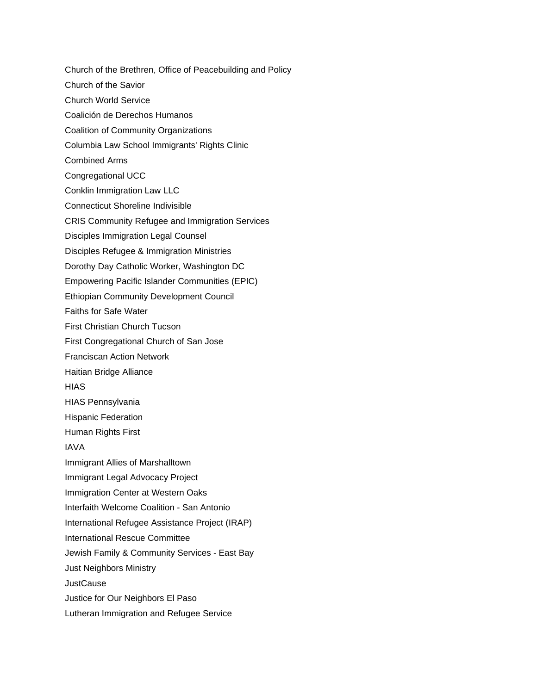Church of the Brethren, Office of Peacebuilding and Policy Church of the Savior Church World Service Coalición de Derechos Humanos Coalition of Community Organizations Columbia Law School Immigrants' Rights Clinic Combined Arms Congregational UCC Conklin Immigration Law LLC Connecticut Shoreline Indivisible CRIS Community Refugee and Immigration Services Disciples Immigration Legal Counsel Disciples Refugee & Immigration Ministries Dorothy Day Catholic Worker, Washington DC Empowering Pacific Islander Communities (EPIC) Ethiopian Community Development Council Faiths for Safe Water First Christian Church Tucson First Congregational Church of San Jose Franciscan Action Network Haitian Bridge Alliance **HIAS** HIAS Pennsylvania Hispanic Federation Human Rights First IAVA Immigrant Allies of Marshalltown Immigrant Legal Advocacy Project Immigration Center at Western Oaks Interfaith Welcome Coalition - San Antonio International Refugee Assistance Project (IRAP) International Rescue Committee Jewish Family & Community Services - East Bay Just Neighbors Ministry **JustCause** Justice for Our Neighbors El Paso Lutheran Immigration and Refugee Service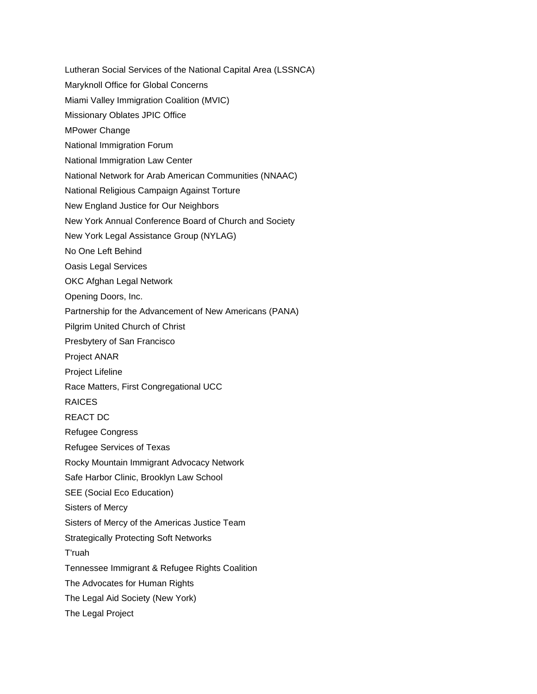- Lutheran Social Services of the National Capital Area (LSSNCA)
- Maryknoll Office for Global Concerns
- Miami Valley Immigration Coalition (MVIC)
- Missionary Oblates JPIC Office
- MPower Change
- National Immigration Forum
- National Immigration Law Center
- National Network for Arab American Communities (NNAAC)
- National Religious Campaign Against Torture
- New England Justice for Our Neighbors
- New York Annual Conference Board of Church and Society
- New York Legal Assistance Group (NYLAG)
- No One Left Behind
- Oasis Legal Services
- OKC Afghan Legal Network
- Opening Doors, Inc.
- Partnership for the Advancement of New Americans (PANA)
- Pilgrim United Church of Christ
- Presbytery of San Francisco
- Project ANAR
- Project Lifeline
- Race Matters, First Congregational UCC
- RAICES
- REACT DC
- Refugee Congress
- Refugee Services of Texas
- Rocky Mountain Immigrant Advocacy Network
- Safe Harbor Clinic, Brooklyn Law School
- SEE (Social Eco Education)
- Sisters of Mercy
- Sisters of Mercy of the Americas Justice Team
- Strategically Protecting Soft Networks
- T'ruah
- Tennessee Immigrant & Refugee Rights Coalition
- The Advocates for Human Rights
- The Legal Aid Society (New York)
- The Legal Project